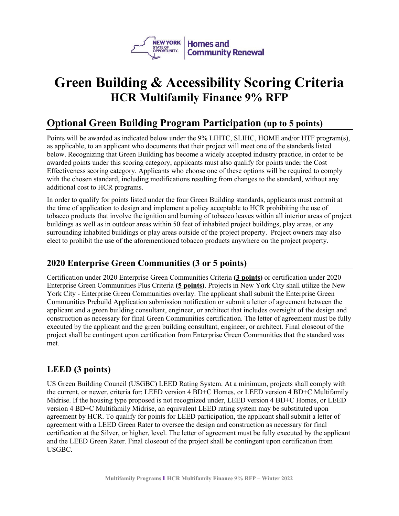

# **Green Building & Accessibility Scoring Criteria HCR Multifamily Finance 9% RFP**

# **Optional Green Building Program Participation (up to 5 points)**

Points will be awarded as indicated below under the 9% LIHTC, SLIHC, HOME and/or HTF program(s), as applicable, to an applicant who documents that their project will meet one of the standards listed below. Recognizing that Green Building has become a widely accepted industry practice, in order to be awarded points under this scoring category, applicants must also qualify for points under the Cost Effectiveness scoring category. Applicants who choose one of these options will be required to comply with the chosen standard, including modifications resulting from changes to the standard, without any additional cost to HCR programs.

In order to qualify for points listed under the four Green Building standards, applicants must commit at the time of application to design and implement a policy acceptable to HCR prohibiting the use of tobacco products that involve the ignition and burning of tobacco leaves within all interior areas of project buildings as well as in outdoor areas within 50 feet of inhabited project buildings, play areas, or any surrounding inhabited buildings or play areas outside of the project property. Project owners may also elect to prohibit the use of the aforementioned tobacco products anywhere on the project property.

### **2020 Enterprise Green Communities (3 or 5 points)**

Certification under 2020 Enterprise Green Communities Criteria **(3 points)** or certification under 2020 Enterprise Green Communities Plus Criteria **(5 points)**. Projects in New York City shall utilize the New York City - Enterprise Green Communities overlay. The applicant shall submit the Enterprise Green Communities Prebuild Application submission notification or submit a letter of agreement between the applicant and a green building consultant, engineer, or architect that includes oversight of the design and construction as necessary for final Green Communities certification. The letter of agreement must be fully executed by the applicant and the green building consultant, engineer, or architect. Final closeout of the project shall be contingent upon certification from Enterprise Green Communities that the standard was met*.* 

#### **LEED (3 points)**

US Green Building Council (USGBC) LEED Rating System. At a minimum, projects shall comply with the current, or newer, criteria for: LEED version 4 BD+C Homes, or LEED version 4 BD+C Multifamily Midrise. If the housing type proposed is not recognized under, LEED version 4 BD+C Homes, or LEED version 4 BD+C Multifamily Midrise, an equivalent LEED rating system may be substituted upon agreement by HCR. To qualify for points for LEED participation, the applicant shall submit a letter of agreement with a LEED Green Rater to oversee the design and construction as necessary for final certification at the Silver, or higher, level. The letter of agreement must be fully executed by the applicant and the LEED Green Rater. Final closeout of the project shall be contingent upon certification from USGBC.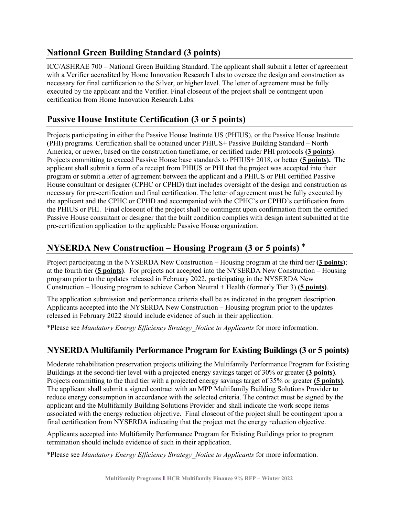#### **National Green Building Standard (3 points)**

ICC/ASHRAE 700 – National Green Building Standard. The applicant shall submit a letter of agreement with a Verifier accredited by Home Innovation Research Labs to oversee the design and construction as necessary for final certification to the Silver, or higher level. The letter of agreement must be fully executed by the applicant and the Verifier. Final closeout of the project shall be contingent upon certification from Home Innovation Research Labs.

# **Passive House Institute Certification (3 or 5 points)**

Projects participating in either the Passive House Institute US (PHIUS), or the Passive House Institute (PHI) programs. Certification shall be obtained under PHIUS+ Passive Building Standard – North America, or newer, based on the construction timeframe, or certified under PHI protocols **(3 points)**. Projects committing to exceed Passive House base standards to PHIUS+ 2018, or better **(5 points).** The applicant shall submit a form of a receipt from PHIUS or PHI that the project was accepted into their program or submit a letter of agreement between the applicant and a PHIUS or PHI certified Passive House consultant or designer (CPHC or CPHD) that includes oversight of the design and construction as necessary for pre-certification and final certification. The letter of agreement must be fully executed by the applicant and the CPHC or CPHD and accompanied with the CPHC's or CPHD's certification from the PHIUS or PHI. Final closeout of the project shall be contingent upon confirmation from the certified Passive House consultant or designer that the built condition complies with design intent submitted at the pre-certification application to the applicable Passive House organization.

## **NYSERDA New Construction – Housing Program (3 or 5 points)**  \*

Project participating in the NYSERDA New Construction – Housing program at the third tier **(3 points)**; at the fourth tier **(5 points)**. For projects not accepted into the NYSERDA New Construction – Housing program prior to the updates released in February 2022, participating in the NYSERDA New Construction – Housing program to achieve Carbon Neutral + Health (formerly Tier 3) **(5 points)**.

The application submission and performance criteria shall be as indicated in the program description. Applicants accepted into the NYSERDA New Construction – Housing program prior to the updates released in February 2022 should include evidence of such in their application.

\*Please see *Mandatory Energy Efficiency Strategy\_Notice to Applicants* for more information.

### **NYSERDA Multifamily Performance Program for Existing Buildings (3 or 5 points)**

Moderate rehabilitation preservation projects utilizing the Multifamily Performance Program for Existing Buildings at the second-tier level with a projected energy savings target of 30% or greater **(3 points)**. Projects committing to the third tier with a projected energy savings target of 35% or greater **(5 points)**. The applicant shall submit a signed contract with an MPP Multifamily Building Solutions Provider to reduce energy consumption in accordance with the selected criteria. The contract must be signed by the applicant and the Multifamily Building Solutions Provider and shall indicate the work scope items associated with the energy reduction objective. Final closeout of the project shall be contingent upon a final certification from NYSERDA indicating that the project met the energy reduction objective.

Applicants accepted into Multifamily Performance Program for Existing Buildings prior to program termination should include evidence of such in their application.

\*Please see *Mandatory Energy Efficiency Strategy\_Notice to Applicants* for more information.